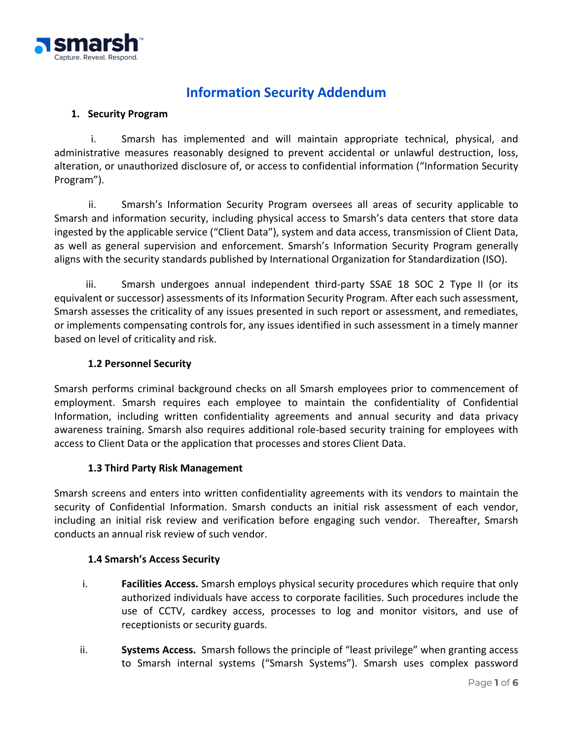

# **Information Security Addendum**

## **1. Security Program**

i. Smarsh has implemented and will maintain appropriate technical, physical, and administrative measures reasonably designed to prevent accidental or unlawful destruction, loss, alteration, or unauthorized disclosure of, or access to confidential information ("Information Security Program").

ii. Smarsh's Information Security Program oversees all areas of security applicable to Smarsh and information security, including physical access to Smarsh's data centers that store data ingested by the applicable service ("Client Data"), system and data access, transmission of Client Data, as well as general supervision and enforcement. Smarsh's Information Security Program generally aligns with the security standards published by International Organization for Standardization (ISO).

iii. Smarsh undergoes annual independent third-party SSAE 18 SOC 2 Type II (or its equivalent or successor) assessments of its Information Security Program. After each such assessment, Smarsh assesses the criticality of any issues presented in such report or assessment, and remediates, or implements compensating controls for, any issues identified in such assessment in a timely manner based on level of criticality and risk.

#### **1.2 Personnel Security**

Smarsh performs criminal background checks on all Smarsh employees prior to commencement of employment. Smarsh requires each employee to maintain the confidentiality of Confidential Information, including written confidentiality agreements and annual security and data privacy awareness training. Smarsh also requires additional role-based security training for employees with access to Client Data or the application that processes and stores Client Data.

#### **1.3 Third Party Risk Management**

Smarsh screens and enters into written confidentiality agreements with its vendors to maintain the security of Confidential Information. Smarsh conducts an initial risk assessment of each vendor, including an initial risk review and verification before engaging such vendor. Thereafter, Smarsh conducts an annual risk review of such vendor.

#### **1.4 Smarsh's Access Security**

- i. **Facilities Access.** Smarsh employs physical security procedures which require that only authorized individuals have access to corporate facilities. Such procedures include the use of CCTV, cardkey access, processes to log and monitor visitors, and use of receptionists or security guards.
- ii. **Systems Access.** Smarsh follows the principle of "least privilege" when granting access to Smarsh internal systems ("Smarsh Systems"). Smarsh uses complex password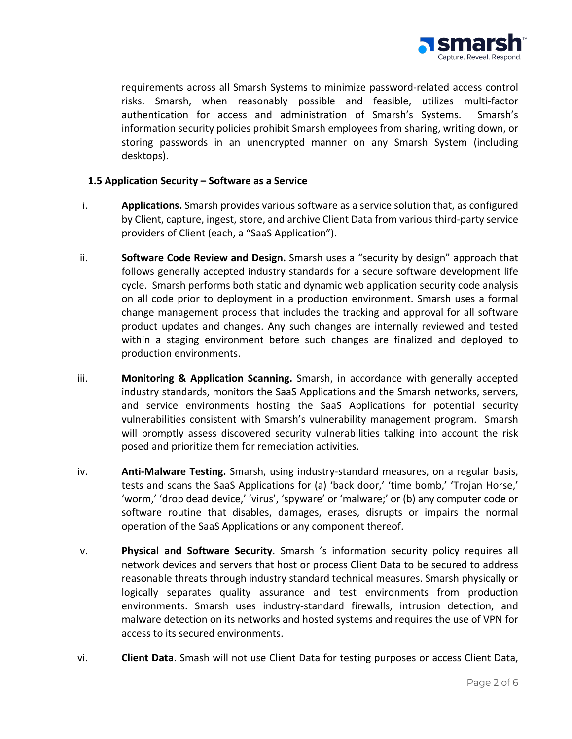

requirements across all Smarsh Systems to minimize password-related access control risks. Smarsh, when reasonably possible and feasible, utilizes multi-factor authentication for access and administration of Smarsh's Systems. Smarsh's information security policies prohibit Smarsh employees from sharing, writing down, or storing passwords in an unencrypted manner on any Smarsh System (including desktops).

#### **1.5 Application Security – Software as a Service**

- i. **Applications.** Smarsh provides various software as a service solution that, as configured by Client, capture, ingest, store, and archive Client Data from various third-party service providers of Client (each, a "SaaS Application").
- ii. **Software Code Review and Design.** Smarsh uses a "security by design" approach that follows generally accepted industry standards for a secure software development life cycle. Smarsh performs both static and dynamic web application security code analysis on all code prior to deployment in a production environment. Smarsh uses a formal change management process that includes the tracking and approval for all software product updates and changes. Any such changes are internally reviewed and tested within a staging environment before such changes are finalized and deployed to production environments.
- iii. **Monitoring & Application Scanning.** Smarsh, in accordance with generally accepted industry standards, monitors the SaaS Applications and the Smarsh networks, servers, and service environments hosting the SaaS Applications for potential security vulnerabilities consistent with Smarsh's vulnerability management program. Smarsh will promptly assess discovered security vulnerabilities talking into account the risk posed and prioritize them for remediation activities.
- iv. **Anti-Malware Testing.** Smarsh, using industry-standard measures, on a regular basis, tests and scans the SaaS Applications for (a) 'back door,' 'time bomb,' 'Trojan Horse,' 'worm,' 'drop dead device,' 'virus', 'spyware' or 'malware;' or (b) any computer code or software routine that disables, damages, erases, disrupts or impairs the normal operation of the SaaS Applications or any component thereof.
- v. **Physical and Software Security**. Smarsh 's information security policy requires all network devices and servers that host or process Client Data to be secured to address reasonable threats through industry standard technical measures. Smarsh physically or logically separates quality assurance and test environments from production environments. Smarsh uses industry-standard firewalls, intrusion detection, and malware detection on its networks and hosted systems and requires the use of VPN for access to its secured environments.
- vi. **Client Data**. Smash will not use Client Data for testing purposes or access Client Data,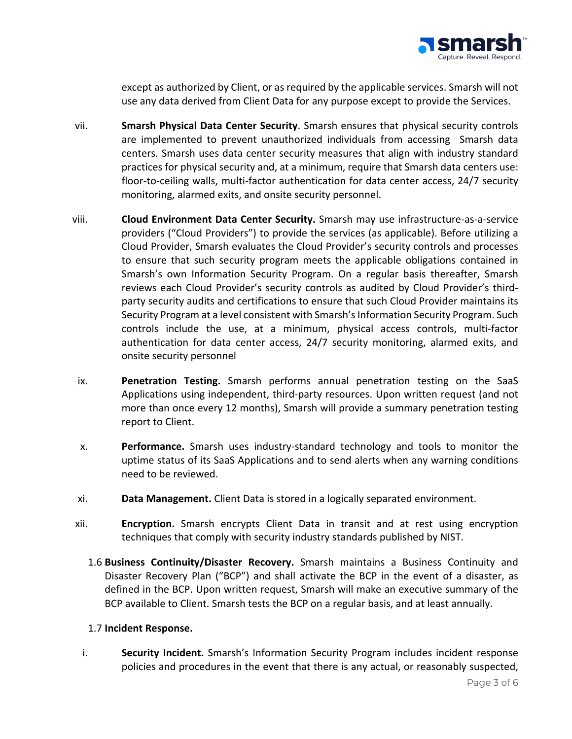

except as authorized by Client, or as required by the applicable services. Smarsh will not use any data derived from Client Data for any purpose except to provide the Services.

- vii. **Smarsh Physical Data Center Security**. Smarsh ensures that physical security controls are implemented to prevent unauthorized individuals from accessing Smarsh data centers. Smarsh uses data center security measures that align with industry standard practices for physical security and, at a minimum, require that Smarsh data centers use: floor-to-ceiling walls, multi-factor authentication for data center access, 24/7 security monitoring, alarmed exits, and onsite security personnel.
- viii. **Cloud Environment Data Center Security.** Smarsh may use infrastructure-as-a-service providers ("Cloud Providers") to provide the services (as applicable). Before utilizing a Cloud Provider, Smarsh evaluates the Cloud Provider's security controls and processes to ensure that such security program meets the applicable obligations contained in Smarsh's own Information Security Program. On a regular basis thereafter, Smarsh reviews each Cloud Provider's security controls as audited by Cloud Provider's thirdparty security audits and certifications to ensure that such Cloud Provider maintains its Security Program at a level consistent with Smarsh's Information Security Program. Such controls include the use, at a minimum, physical access controls, multi-factor authentication for data center access, 24/7 security monitoring, alarmed exits, and onsite security personnel
- ix. **Penetration Testing.** Smarsh performs annual penetration testing on the SaaS Applications using independent, third-party resources. Upon written request (and not more than once every 12 months), Smarsh will provide a summary penetration testing report to Client.
- x. **Performance.** Smarsh uses industry-standard technology and tools to monitor the uptime status of its SaaS Applications and to send alerts when any warning conditions need to be reviewed.
- xi. **Data Management.** Client Data is stored in a logically separated environment.
- xii. **Encryption.** Smarsh encrypts Client Data in transit and at rest using encryption techniques that comply with security industry standards published by NIST.
	- 1.6 **Business Continuity/Disaster Recovery.** Smarsh maintains a Business Continuity and Disaster Recovery Plan ("BCP") and shall activate the BCP in the event of a disaster, as defined in the BCP. Upon written request, Smarsh will make an executive summary of the BCP available to Client. Smarsh tests the BCP on a regular basis, and at least annually.

## 1.7 **Incident Response.**

i. **Security Incident.** Smarsh's Information Security Program includes incident response policies and procedures in the event that there is any actual, or reasonably suspected,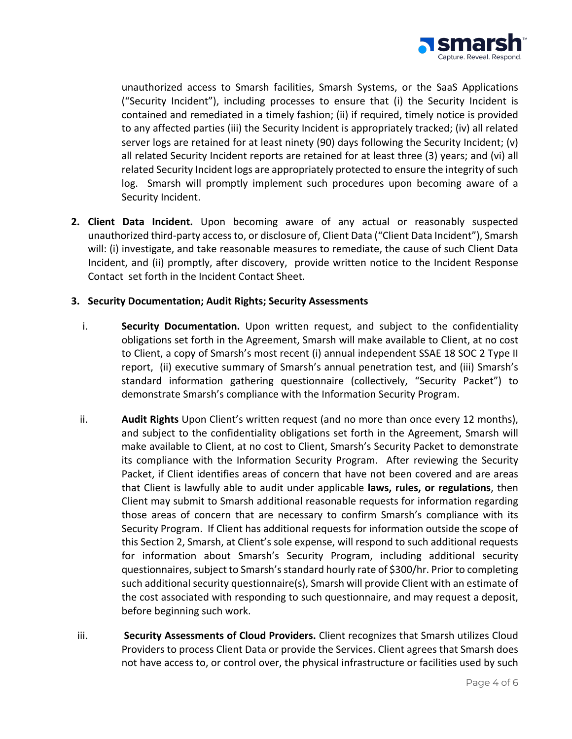

unauthorized access to Smarsh facilities, Smarsh Systems, or the SaaS Applications ("Security Incident"), including processes to ensure that (i) the Security Incident is contained and remediated in a timely fashion; (ii) if required, timely notice is provided to any affected parties (iii) the Security Incident is appropriately tracked; (iv) all related server logs are retained for at least ninety (90) days following the Security Incident; (v) all related Security Incident reports are retained for at least three (3) years; and (vi) all related Security Incident logs are appropriately protected to ensure the integrity of such log. Smarsh will promptly implement such procedures upon becoming aware of a Security Incident.

**2. Client Data Incident.** Upon becoming aware of any actual or reasonably suspected unauthorized third-party access to, or disclosure of, Client Data ("Client Data Incident"), Smarsh will: (i) investigate, and take reasonable measures to remediate, the cause of such Client Data Incident, and (ii) promptly, after discovery, provide written notice to the Incident Response Contact set forth in the Incident Contact Sheet.

#### **3. Security Documentation; Audit Rights; Security Assessments**

- i. **Security Documentation.** Upon written request, and subject to the confidentiality obligations set forth in the Agreement, Smarsh will make available to Client, at no cost to Client, a copy of Smarsh's most recent (i) annual independent SSAE 18 SOC 2 Type II report, (ii) executive summary of Smarsh's annual penetration test, and (iii) Smarsh's standard information gathering questionnaire (collectively, "Security Packet") to demonstrate Smarsh's compliance with the Information Security Program.
- ii. **Audit Rights** Upon Client's written request (and no more than once every 12 months), and subject to the confidentiality obligations set forth in the Agreement, Smarsh will make available to Client, at no cost to Client, Smarsh's Security Packet to demonstrate its compliance with the Information Security Program. After reviewing the Security Packet, if Client identifies areas of concern that have not been covered and are areas that Client is lawfully able to audit under applicable **laws, rules, or regulations**, then Client may submit to Smarsh additional reasonable requests for information regarding those areas of concern that are necessary to confirm Smarsh's compliance with its Security Program. If Client has additional requests for information outside the scope of this Section 2, Smarsh, at Client's sole expense, will respond to such additional requests for information about Smarsh's Security Program, including additional security questionnaires, subject to Smarsh's standard hourly rate of \$300/hr. Prior to completing such additional security questionnaire(s), Smarsh will provide Client with an estimate of the cost associated with responding to such questionnaire, and may request a deposit, before beginning such work.
- iii. **Security Assessments of Cloud Providers.** Client recognizes that Smarsh utilizes Cloud Providers to process Client Data or provide the Services. Client agrees that Smarsh does not have access to, or control over, the physical infrastructure or facilities used by such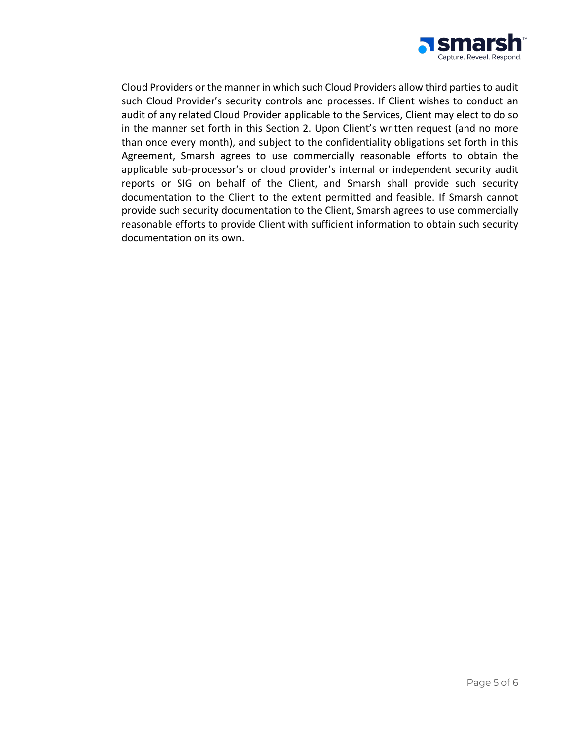

Cloud Providers or the manner in which such Cloud Providers allow third partiesto audit such Cloud Provider's security controls and processes. If Client wishes to conduct an audit of any related Cloud Provider applicable to the Services, Client may elect to do so in the manner set forth in this Section 2. Upon Client's written request (and no more than once every month), and subject to the confidentiality obligations set forth in this Agreement, Smarsh agrees to use commercially reasonable efforts to obtain the applicable sub-processor's or cloud provider's internal or independent security audit reports or SIG on behalf of the Client, and Smarsh shall provide such security documentation to the Client to the extent permitted and feasible. If Smarsh cannot provide such security documentation to the Client, Smarsh agrees to use commercially reasonable efforts to provide Client with sufficient information to obtain such security documentation on its own.